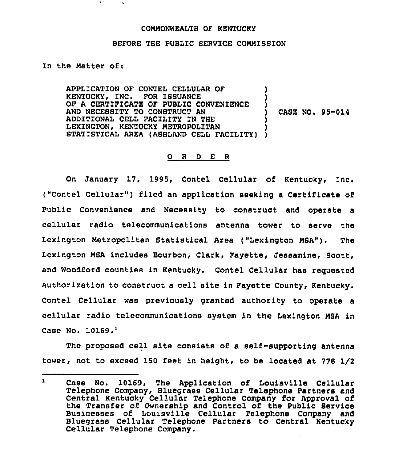## CONNONWEALTH OF KENTUCKY

## BEFORE THE PUBLIC SERVICE COMNISSION

In the Natter of:

APPLICATION OF CONTEL CELLULAR OF KENTUCKY, INC. FOR ISSUANCE OF A CERTIFICATE OF PUBLIC CONVENIENCE AND NECESSITY TO CONSTRUCT AN ADDITIONAL CELL FACILITY ZN THE LEXINGTON, KENTUCKY NETROPOLITAN STATISTICAL AREA (ASHLAND CELL FACILITY) ) ) ) ) CASE NO. 95-014 ) ) )

## 0 <sup>R</sup> <sup>D</sup> E <sup>R</sup>

On January 17, 1995, Contel Cellular of Kentucky, Inc. ("Contel Cellular") filed an application seeking a Certificate of Public Convenience and Necessity to construct and operate a cellular radio telecommunications antenna tower to serve the Lexington Netropolitan Statistical Area ("Lexington NSA"). The Lexington MSA includes Bourbon, Clark, Fayette, Jessamine, Scott, and Woodford counties in Kentucky. Contel Cellular haa reguested authorization to construct a cell site in Fayette County, Kentucky. Contel Cellular was previously granted authority to operate a cellular radio telecommunications system in the Lexington NSA in Case No.  $10169.$ <sup>1</sup>

The proposed cell site consists of a self-supporting antenna tower, not to exceed 150 feet in height, to be located at 778 I/2

 $\mathbf{I}$ Case No. 10169, The Application of Louisville Cellula Telephone Company, Bluegrass Cellular Telephone Partners and Central Kentucky Cellular Telephone Company for Approval of the Transfer of Ownership and Control of the Public Service Businesses of Louisville Cellular Telephone Company and Bluegrass Cellular Telephone Partners to Central Kentucky Cellular Telephone Company.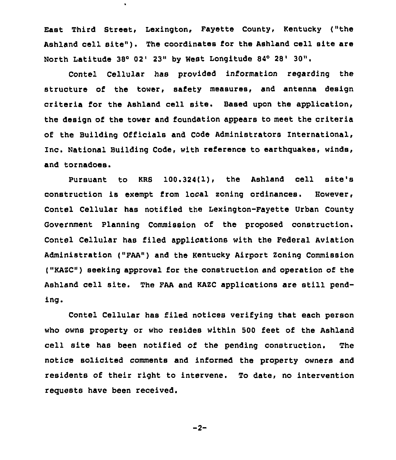East Third Street, Lexington, Fayette County, Kentucky ("the Ashland cell site"). The coordinates for the Ashland cell site are North Latitude 38° 02' 23" by West Longitude 84° 28' 30".

 $\mathbf{r}$ 

Contel Cellular has provided information regarding the structure of the tower, safety measures, and antenna design criteria for the Ashland cell site. Based upon the application, the design of the tower and foundation appears to meet the criteria of the Building Officials and Code Administrators International, Inc. National Building Code, with reference to earthguakes, winds, and tornadoes.

Pursuant to KRB 100.324(l). the Ashland cell site's construction is exempt from local zoning ordinances. However, Contel Cellular has notified the Lexington-Fayette Urban County Government Planning Commission of the proposed construction. Contel Cellular has filed applications with the Federal Aviation Administration ("FAA") and the Kentucky Airport Zoning Commission ("KAZC") seeking approval for the construction and operation of the Ashland cell site. The FAA and KAZC applications are still pending.

Contel Cellular has filed notices verifying that each person who owns property or who resides within 500 feet of the Ashland cell site has been notified of the pending construction. The notice solicited comments and informed the property owners and residents of their right to intervene. To date, no intervention requests have been received.

$$
-2-
$$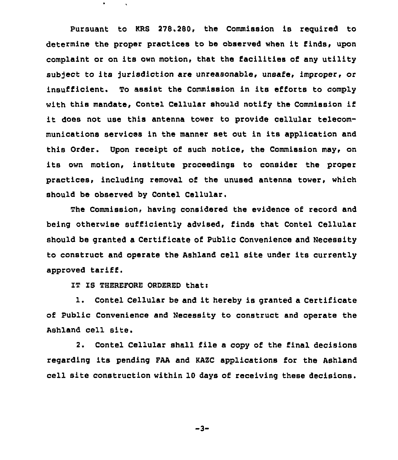Pursuant to KRS 2?8.288, the Commission is reguired to determine the proper practices to be observed when it finds, upon complaint or on its own motion, that the facilities of any utility subject to its jurisdiction are unreasonable, unsafe, improper, or insufficient. To assist the Commission in its efforts to comply with this mandate, Contel Cellular should notify the Commission if it does not use this antenna tower to provide cellular telecommunications services in the manner set out in its application and this Order. Upon receipt of such notice, the Commission may, on its own motion, institute proceedings to consider the proper practices, including removal of the unused antenna tower, which should be observed by Contel Cellular,

The Commission, having considered the evidence of record and being otherwise sufficiently advised, finds that Contel Cellular should be granted a Certificate of Public Convenience and Necessity to construct and operate the Ashland cell site under its currently approved tariff.

IT IS THEREFORE ORDERED that:

 $\bullet$ 

1. Contel Cellular be and it hereby is granted <sup>a</sup> Certificate of Public Convenience and Necessity to construct and operate the Ashland cell site.

2. Contel Cellular shall file a copy of the final decisions regarding its pending FAA and KAZC applications for the Ashland cell site construction within 1Q days of receiving these decisions.

$$
-3-
$$